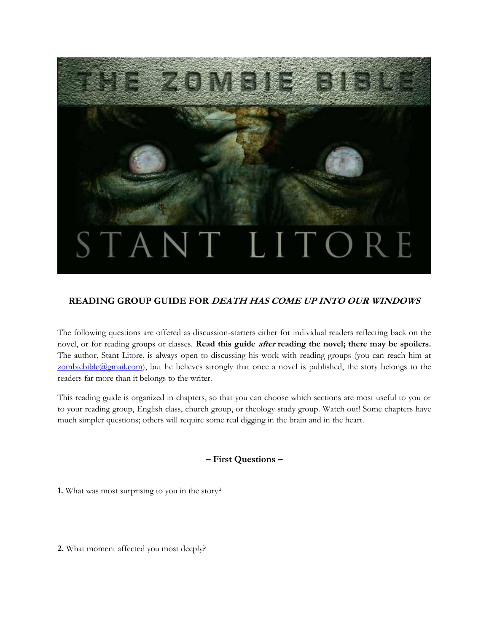

## **READING GROUP GUIDE FOR DEATH HAS COME UP INTO OUR WINDOWS**

The following questions are offered as discussion-starters either for individual readers reflecting back on the novel, or for reading groups or classes. **Read this guide** *after* **reading the novel; there may be spoilers.** The author, Stant Litore, is always open to discussing his work with reading groups (you can reach him at  $zombiebible(Qgmail.com)$ , but he believes strongly that once a novel is published, the story belongs to the readers far more than it belongs to the writer.

This reading guide is organized in chapters, so that you can choose which sections are most useful to you or to your reading group, English class, church group, or theology study group. Watch out! Some chapters have much simpler questions; others will require some real digging in the brain and in the heart.

## **– First Questions –**

**1.** What was most surprising to you in the story?

**2.** What moment affected you most deeply?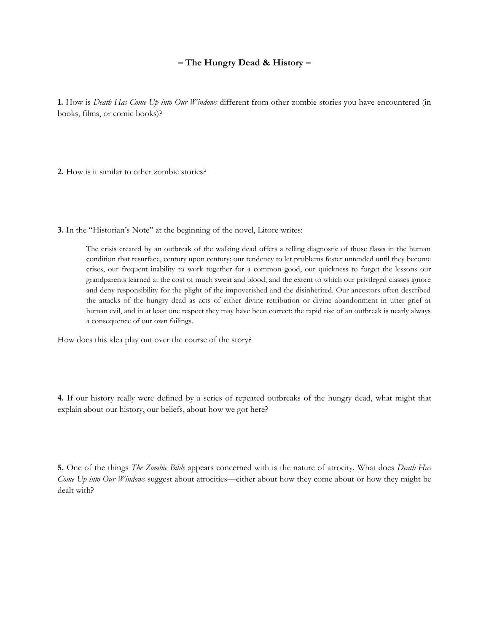### **– The Hungry Dead & History –**

**1.** How is *Death Has Come Up into Our Windows* different from other zombie stories you have encountered (in books, films, or comic books)?

**2.** How is it similar to other zombie stories?

**3.** In the "Historian's Note" at the beginning of the novel, Litore writes:

The crisis created by an outbreak of the walking dead offers a telling diagnostic of those flaws in the human condition that resurface, century upon century: our tendency to let problems fester untended until they become crises, our frequent inability to work together for a common good, our quickness to forget the lessons our grandparents learned at the cost of much sweat and blood, and the extent to which our privileged classes ignore and deny responsibility for the plight of the impoverished and the disinherited. Our ancestors often described the attacks of the hungry dead as acts of either divine retribution or divine abandonment in utter grief at human evil, and in at least one respect they may have been correct: the rapid rise of an outbreak is nearly always a consequence of our own failings.

How does this idea play out over the course of the story?

**4.** If our history really were defined by a series of repeated outbreaks of the hungry dead, what might that explain about our history, our beliefs, about how we got here?

**5.** One of the things *The Zombie Bible* appears concerned with is the nature of atrocity. What does *Death Has Come Up into Our Windows* suggest about atrocities—either about how they come about or how they might be dealt with?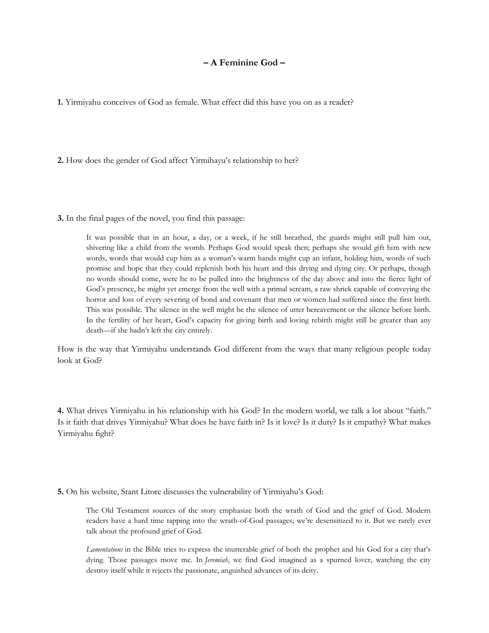#### **– A Feminine God –**

**1.** Yirmiyahu conceives of God as female. What effect did this have you on as a reader?

**2.** How does the gender of God affect Yirmihayu's relationship to her?

**3.** In the final pages of the novel, you find this passage:

It was possible that in an hour, a day, or a week, if he still breathed, the guards might still pull him out, shivering like a child from the womb. Perhaps God would speak then; perhaps she would gift him with new words, words that would cup him as a woman's warm hands might cup an infant, holding him, words of such promise and hope that they could replenish both his heart and this drying and dying city. Or perhaps, though no words should come, were he to be pulled into the brightness of the day above and into the fierce light of God's presence, he might yet emerge from the well with a primal scream, a raw shriek capable of conveying the horror and loss of every severing of bond and covenant that men or women had suffered since the first birth. This was possible. The silence in the well might be the silence of utter bereavement or the silence before birth. In the fertility of her heart, God's capacity for giving birth and loving rebirth might still be greater than any death—if she hadn't left the city entirely.

How is the way that Yirmiyahu understands God different from the ways that many religious people today look at God?

**4.** What drives Yirmiyahu in his relationship with his God? In the modern world, we talk a lot about "faith." Is it faith that drives Yirmiyahu? What does he have faith in? Is it love? Is it duty? Is it empathy? What makes Yirmiyahu fight?

**5.** On his website, Stant Litore discusses the vulnerability of Yirmiyahu's God:

The Old Testament sources of the story emphasize both the wrath of God and the grief of God. Modern readers have a hard time tapping into the wrath-of-God passages; we're desensitized to it. But we rarely ever talk about the profound grief of God.

*Lamentations* in the Bible tries to express the inutterable grief of both the prophet and his God for a city that's dying. Those passages move me. In *Jeremiah*, we find God imagined as a spurned lover, watching the city destroy itself while it rejects the passionate, anguished advances of its deity.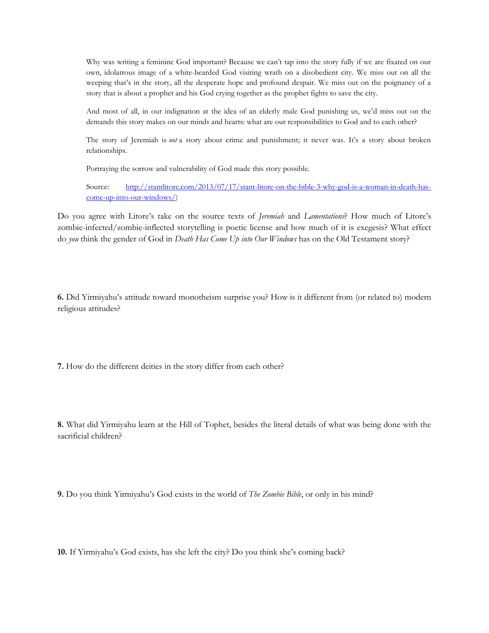Why was writing a feminine God important? Because we can't tap into the story fully if we are fixated on our own, idolatrous image of a white-bearded God visiting wrath on a disobedient city. We miss out on all the weeping that's in the story, all the desperate hope and profound despair. We miss out on the poignancy of a story that is about a prophet and his God crying together as the prophet fights to save the city.

And most of all, in our indignation at the idea of an elderly male God punishing us, we'd miss out on the demands this story makes on our minds and hearts: what are our responsibilities to God and to each other?

The story of Jeremiah is *not* a story about crime and punishment; it never was. It's a story about broken relationships.

Portraying the sorrow and vulnerability of God made this story possible.

Source: [http://stantlitore.com/2013/07/17/stant-litore-on-the-bible-3-why-god-is-a-woman-in-death-has](http://stantlitore.com/2013/07/17/stant-litore-on-the-bible-3-why-god-is-a-woman-in-death-has-come-up-into-our-windows/)[come-up-into-our-windows/\)](http://stantlitore.com/2013/07/17/stant-litore-on-the-bible-3-why-god-is-a-woman-in-death-has-come-up-into-our-windows/)

Do you agree with Litore's take on the source texts of *Jeremiah* and *Lamentations*? How much of Litore's zombie-infected/zombie-inflected storytelling is poetic license and how much of it is exegesis? What effect do *you* think the gender of God in *Death Has Come Up into Our Windows* has on the Old Testament story?

**6.** Did Yirmiyahu's attitude toward monotheism surprise you? How is it different from (or related to) modern religious attitudes?

**7.** How do the different deities in the story differ from each other?

**8.** What did Yirmiyahu learn at the Hill of Tophet, besides the literal details of what was being done with the sacrificial children?

**9.** Do you think Yirmiyahu's God exists in the world of *The Zombie Bible*, or only in his mind?

**10.** If Yirmiyahu's God exists, has she left the city? Do you think she's coming back?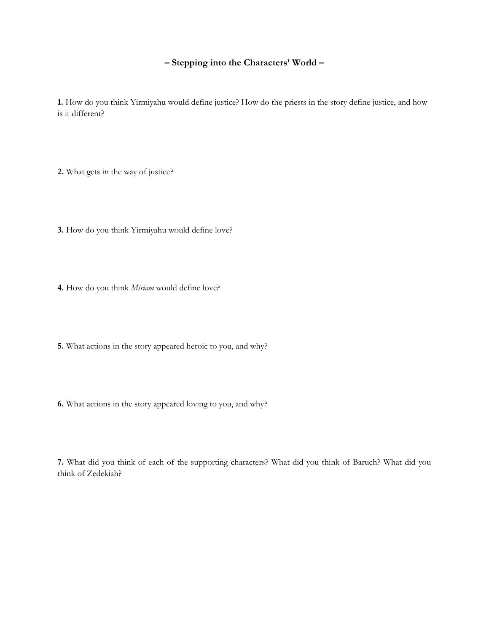### **– Stepping into the Characters' World –**

**1.** How do you think Yirmiyahu would define justice? How do the priests in the story define justice, and how is it different?

**2.** What gets in the way of justice?

**3.** How do you think Yirmiyahu would define love?

**4.** How do you think *Miriam* would define love?

**5.** What actions in the story appeared heroic to you, and why?

**6.** What actions in the story appeared loving to you, and why?

**7.** What did you think of each of the supporting characters? What did you think of Baruch? What did you think of Zedekiah?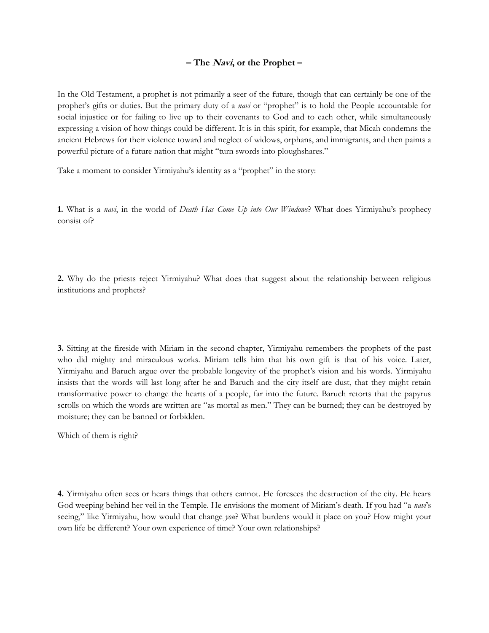#### **– The Navi, or the Prophet –**

In the Old Testament, a prophet is not primarily a seer of the future, though that can certainly be one of the prophet's gifts or duties. But the primary duty of a *navi* or "prophet" is to hold the People accountable for social injustice or for failing to live up to their covenants to God and to each other, while simultaneously expressing a vision of how things could be different. It is in this spirit, for example, that Micah condemns the ancient Hebrews for their violence toward and neglect of widows, orphans, and immigrants, and then paints a powerful picture of a future nation that might "turn swords into ploughshares."

Take a moment to consider Yirmiyahu's identity as a "prophet" in the story:

**1.** What is a *navi*, in the world of *Death Has Come Up into Our Windows*? What does Yirmiyahu's prophecy consist of?

**2.** Why do the priests reject Yirmiyahu? What does that suggest about the relationship between religious institutions and prophets?

**3.** Sitting at the fireside with Miriam in the second chapter, Yirmiyahu remembers the prophets of the past who did mighty and miraculous works. Miriam tells him that his own gift is that of his voice. Later, Yirmiyahu and Baruch argue over the probable longevity of the prophet's vision and his words. Yirmiyahu insists that the words will last long after he and Baruch and the city itself are dust, that they might retain transformative power to change the hearts of a people, far into the future. Baruch retorts that the papyrus scrolls on which the words are written are "as mortal as men." They can be burned; they can be destroyed by moisture; they can be banned or forbidden.

Which of them is right?

**4.** Yirmiyahu often sees or hears things that others cannot. He foresees the destruction of the city. He hears God weeping behind her veil in the Temple. He envisions the moment of Miriam's death. If you had "a *navi*'s seeing," like Yirmiyahu, how would that change *you*? What burdens would it place on you? How might your own life be different? Your own experience of time? Your own relationships?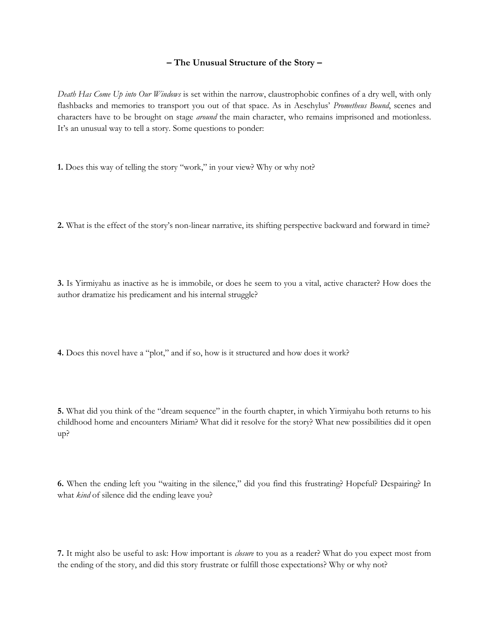#### **– The Unusual Structure of the Story –**

*Death Has Come Up into Our Windows* is set within the narrow, claustrophobic confines of a dry well, with only flashbacks and memories to transport you out of that space. As in Aeschylus' *Prometheus Bound*, scenes and characters have to be brought on stage *around* the main character, who remains imprisoned and motionless. It's an unusual way to tell a story. Some questions to ponder:

**1.** Does this way of telling the story "work," in your view? Why or why not?

**2.** What is the effect of the story's non-linear narrative, its shifting perspective backward and forward in time?

**3.** Is Yirmiyahu as inactive as he is immobile, or does he seem to you a vital, active character? How does the author dramatize his predicament and his internal struggle?

**4.** Does this novel have a "plot," and if so, how is it structured and how does it work?

**5.** What did you think of the "dream sequence" in the fourth chapter, in which Yirmiyahu both returns to his childhood home and encounters Miriam? What did it resolve for the story? What new possibilities did it open up?

**6.** When the ending left you "waiting in the silence," did you find this frustrating? Hopeful? Despairing? In what *kind* of silence did the ending leave you?

**7.** It might also be useful to ask: How important is *closure* to you as a reader? What do you expect most from the ending of the story, and did this story frustrate or fulfill those expectations? Why or why not?